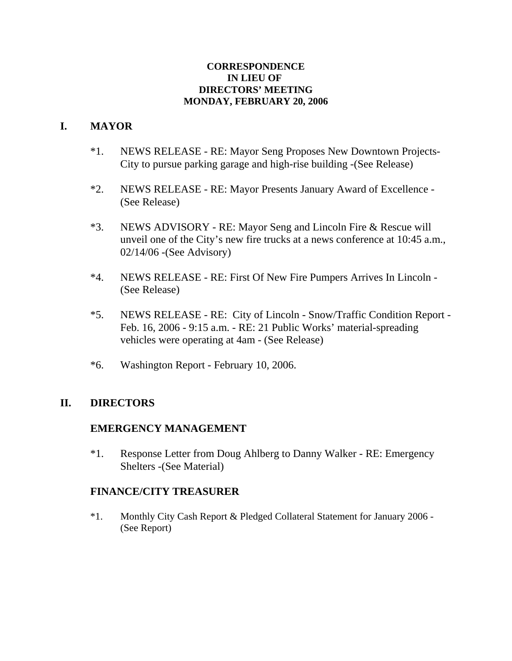#### **CORRESPONDENCE IN LIEU OF DIRECTORS' MEETING MONDAY, FEBRUARY 20, 2006**

# **I. MAYOR**

- \*1. NEWS RELEASE RE: Mayor Seng Proposes New Downtown Projects- City to pursue parking garage and high-rise building -(See Release)
- \*2. NEWS RELEASE RE: Mayor Presents January Award of Excellence (See Release)
- \*3. NEWS ADVISORY RE: Mayor Seng and Lincoln Fire & Rescue will unveil one of the City's new fire trucks at a news conference at 10:45 a.m., 02/14/06 -(See Advisory)
- \*4. NEWS RELEASE RE: First Of New Fire Pumpers Arrives In Lincoln (See Release)
- \*5. NEWS RELEASE RE: City of Lincoln Snow/Traffic Condition Report Feb. 16, 2006 - 9:15 a.m. - RE: 21 Public Works' material-spreading vehicles were operating at 4am - (See Release)
- \*6. Washington Report February 10, 2006.

# **II. DIRECTORS**

# **EMERGENCY MANAGEMENT**

\*1. Response Letter from Doug Ahlberg to Danny Walker - RE: Emergency Shelters -(See Material)

# **FINANCE/CITY TREASURER**

\*1. Monthly City Cash Report & Pledged Collateral Statement for January 2006 - (See Report)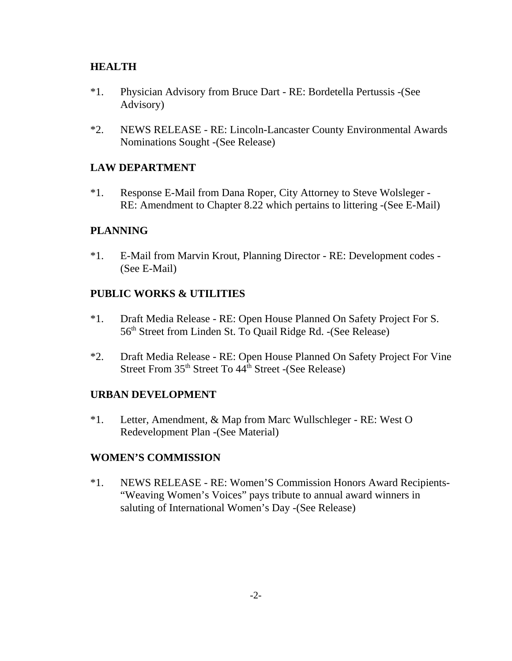### **HEALTH**

- \*1. Physician Advisory from Bruce Dart RE: Bordetella Pertussis -(See Advisory)
- \*2. NEWS RELEASE RE: Lincoln-Lancaster County Environmental Awards Nominations Sought -(See Release)

### **LAW DEPARTMENT**

\*1. Response E-Mail from Dana Roper, City Attorney to Steve Wolsleger - RE: Amendment to Chapter 8.22 which pertains to littering -(See E-Mail)

### **PLANNING**

\*1. E-Mail from Marvin Krout, Planning Director - RE: Development codes - (See E-Mail)

### **PUBLIC WORKS & UTILITIES**

- \*1. Draft Media Release RE: Open House Planned On Safety Project For S. 56th Street from Linden St. To Quail Ridge Rd. -(See Release)
- \*2. Draft Media Release RE: Open House Planned On Safety Project For Vine Street From  $35<sup>th</sup>$  Street To  $44<sup>th</sup>$  Street -(See Release)

#### **URBAN DEVELOPMENT**

\*1. Letter, Amendment, & Map from Marc Wullschleger - RE: West O Redevelopment Plan -(See Material)

#### **WOMEN'S COMMISSION**

\*1. NEWS RELEASE - RE: Women'S Commission Honors Award Recipients- "Weaving Women's Voices" pays tribute to annual award winners in saluting of International Women's Day -(See Release)